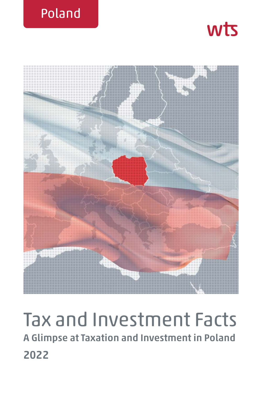





# Tax and Investment Facts **A Glimpse at Taxation and Investment in Poland 2022**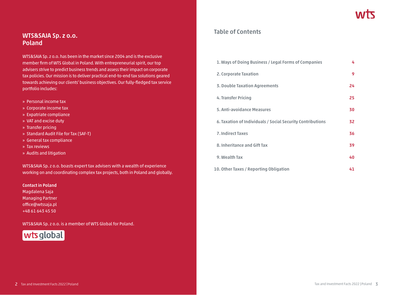### **WTS&SAJA Sp. z o.o. Poland**

WTS&SAJA Sp. z o.o. has been in the market since 2004 and is the exclusive member firm of WTS Global in Poland. With entrepreneurial spirit, our top advisers strive to predict business trends and assess their impact on corporate tax policies. Our mission is to deliver practical end-to-end tax solutions geared towards achieving our clients' business objectives. Our fully-fledged tax service portfolio includes:

- » Personal income tax
- » Corporate income tax
- » Expatriate compliance
- » VAT and excise duty
- » Transfer pricing
- » Standard Audit File for Tax (SAF-T)
- » General tax compliance
- » Tax reviews
- » Audits and litigation

WTS&SAJA Sp. z o.o. boasts expert tax advisers with a wealth of experience working on and coordinating complex tax projects, both in Poland and globally.

**Contact in Poland** Magdalena Saja

Managing Partner office@wtssaja.pl +48 61 643 45 50

WTS&SAJA Sp. z o.o. is a member of WTS Global for Poland.



### **Table of Contents**

| 1. Ways of Doing Business / Legal Forms of Companies       | 4  |
|------------------------------------------------------------|----|
| 2. Corporate Taxation                                      | 9  |
| 3. Double Taxation Agreements                              | 24 |
| 4. Transfer Pricing                                        | 25 |
| 5. Anti-avoidance Measures                                 | 30 |
| 6. Taxation of Individuals / Social Security Contributions | 32 |
| <b>7. Indirect Taxes</b>                                   | 36 |
| 8. Inheritance and Gift Tax                                | 39 |
| 9. Wealth Tax                                              | 40 |
| 10. Other Taxes / Reporting Obligation                     | 41 |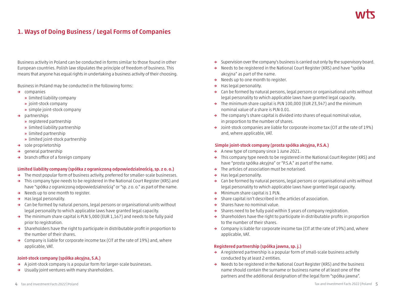## **1. Ways of Doing Business / Legal Forms of Companies**

Business activity in Poland can be conducted in forms similar to those found in other European countries. Polish law stipulates the principle of freedom of business. This means that anyone has equal rights in undertaking a business activity of their choosing.

Business in Poland may be conducted in the following forms:

- **→** companies
	- **»** limited liability company
	- **»** joint-stock company
	- **»** simple joint-stock company
- **→** partnerships
	- **»** registered partnership
	- **»** limited liability partnership
	- **»** limited partnership
	- **»** limited joint-stock partnership
- **→** sole proprietorship
- **→** general partnership
- **→** branch office of a foreign company

#### **Limited liability company (spółka z ograniczoną odpowiedzialnością, sp. z o. o.)**

- **→** The most popular form of business activity, preferred for smaller-scale businesses.
- **→** This company type needs to be registered in the National Court Register (KRS) and have "spółka z ograniczoną odpowiedzialnością" or "sp. z o. o." as part of the name.
- **→** Needs up to one month to register.
- **→** Has legal personality.
- **→** Can be formed by natural persons, legal persons or organisational units without legal personality to which applicable laws have granted legal capacity.
- **→** The minimum share capital is PLN 5,000 (EUR 1,167) and needs to be fully paid prior to registration.
- **→** Shareholders have the right to participate in distributable profit in proportion to the number of their shares.
- **→** Company is liable for corporate income tax (CIT at the rate of 19%) and, where applicable, VAT.

#### **Joint-stock company (spółka akcyjna, S.A.)**

- **→** A joint-stock company is a popular form for larger-scale businesses.
- **→** Usually joint ventures with many shareholders.
- **→** Supervision over the company's business is carried out only by the supervisory board.
- **→** Needs to be registered in the National Court Register (KRS) and have "spółka akcyjna" as part of the name.
- **→** Needs up to one month to register.
- **→** Has legal personality.
- **→** Can be formed by natural persons, legal persons or organisational units without legal personality to which applicable laws have granted legal capacity.
- **→** The minimum share capital is PLN 100,000 (EUR 23,347) and the minimum nominal value of a share is PLN 0.01.
- **→** The company's share capital is divided into shares of equal nominal value, in proportion to the number of shares.
- **→** Joint-stock companies are liable for corporate income tax (CIT at the rate of 19%) and, where applicable, VAT.

#### **Simple joint-stock company (prosta spółka akcyjna, P.S.A.)**

- **→** A new type of company since 1 June 2021.
- **→** This company type needs to be registered in the National Court Register (KRS) and have "prosta spółka akcyjna" or "P.S.A." as part of the name.
- **→** The articles of association must be notarised.
- **→** Has legal personality.
- **→** Can be formed by natural persons, legal persons or organisational units without legal personality to which applicable laws have granted legal capacity.
- **→** Minimum share capital is 1 PLN.
- **→** Share capital isn't described in the articles of association.
- **→** Shares have no nominal value.
- **→** Shares need to be fully paid within 3 years of company registration.
- **→** Shareholders have the right to participate in distributable profits in proportion to the number of their shares.
- **→** Company is liable for corporate income tax (CIT at the rate of 19%) and, where applicable, VAT.

#### **Registered partnership (spółka jawna, sp. j.)**

- **→** A registered partnership is a popular form of small-scale business activity conducted by at least 2 entities.
- **→** Needs to be registered in the National Court Register (KRS) and the business name should contain the surname or business name of at least one of the partners and the additional designation of the legal form "spółka jawna".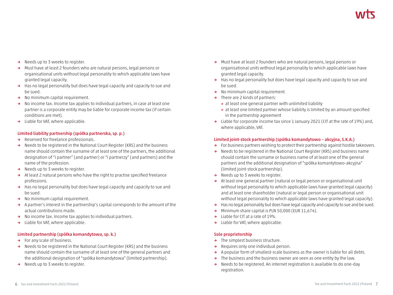- **→** Needs up to 3 weeks to register.
- **→** Must have at least 2 founders who are natural persons, legal persons or organisational units without legal personality to which applicable laws have granted legal capacity.
- **→** Has no legal personality but does have legal capacity and capacity to sue and be sued.
- **→** No minimum capital requirement.
- **→** No income tax. Income tax applies to individual partners, in case at least one partner is a corporate entity may be liable for corporate income tax (if certain conditions are met).
- **→** Liable for VAT, where applicable.

#### **Limited liability partnership (spółka partnerska, sp. p.)**

- **→** Reserved for freelance professionals.
- **→** Needs to be registered in the National Court Register (KRS) and the business name should contain the surname of at least one of the partners, the additional designation of "i partner" (and partner) or "i partnerzy" (and partners) and the name of the profession.
- **→** Needs up to 3 weeks to register.
- **→** At least 2 natural persons who have the right to practise specified freelance professions.
- **→** Has no legal personality but does have legal capacity and capacity to sue and be sued.
- **→** No minimum capital requirement.
- **→** A partner's interest in the partnership's capital corresponds to the amount of the actual contributions made.
- **→** No income tax. Income tax applies to individual partners.
- **→** Liable for VAT, where applicable.

#### **Limited partnership (spółka komandytowa, sp. k.)**

- **→** For any scale of business.
- **→** Needs to be registered in the National Court Register (KRS) and the business name should contain the surname of at least one of the general partners and the additional designation of "spółka komandytowa" (limited partnership).
- **→** Needs up to 3 weeks to register.
- **→** Must have at least 2 founders who are natural persons, legal persons or organisational units without legal personality to which applicable laws have granted legal capacity.
- **→** Has no legal personality but does have legal capacity and capacity to sue and be sued.
- **→** No minimum capital requirement.
- **→** There are 2 kinds of partners:
	- **»** at least one general partner with unlimited liability
	- **»** at least one limited partner whose liability is limited by an amount specified in the partnership agreement
- **→** Liable for corporate income tax since 1 January 2021 (CIT at the rate of 19%) and, where applicable, VAT.

#### **Limited joint-stock partnership (spółka komandytowo – akcyjna, S.K.A.)**

- **→** For business partners wishing to protect their partnership against hostile takeovers.
- **→** Needs to be registered in the National Court Register (KRS) and business name should contain the surname or business name of at least one of the general partners and the additional designation of "spółka komantytowo-akcyjna" (limited joint-stock partnership).
- **→** Needs up to 3 weeks to register.
- **→** At least one general partner (natural or legal person or organisational unit without legal personality to which applicable laws have granted legal capacity) and at least one shareholder (natural or legal person or organisational unit without legal personality to which applicable laws have granted legal capacity).
- **→** Has no legal personality but does have legal capacity and capacity to sue and be sued.
- **→** Minimum share capital is PLN 50,000 (EUR 11,674).
- **→** Liable for CIT at a rate of 19%.
- **→** Liable for VAT, where applicable.

#### **Sole proprietorship**

- **→** The simplest business structure.
- **→** Requires only one individual person.
- **→** A popular form of smallest-scale business as the owner is liable for all debts.
- **→** The business and the business owner are seen as one entity by the law.
- **→** Needs to be registered. An internet registration is available to do one-day registration.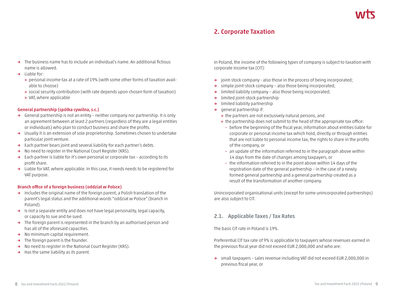### **2. Corporate Taxation**

- **→** The business name has to include an individual's name. An additional fictious name is allowed.
- **→** Liable for:
	- **»** personal income tax at a rate of 19% (with some other forms of taxation available to choose)
	- **»** social security contribution (with rate depends upon chosen form of taxation)
	- **»** VAT, where applicable

#### **General partnership (spółka cywilna, s.c.)**

- **→** General partnership is not an entity neither company nor partnership. It is only an agreement between at least 2 partners (regardless of they are a legal entities or individuals) who plan to conduct business and share the profits.
- **→** Usually it is an extension of sole proprietorship. Sometimes chosen to undertake particular joint venture.
- **→** Each partner bears joint and several liability for each partner's debts.
- **→** No need to register in the National Court Register (KRS).
- **→** Each partner is liable for it's own personal or corporate tax according to its profit share.
- **→** Liable for VAT, where applicable. In this case, it needs needs to be registered for VAT purpose.

#### **Branch office of a foreign business (oddział w Polsce)**

- **→** Includes the original name of the foreign parent, a Polish translation of the parent's legal status and the additional words "oddział w Polsce" (branch in Poland).
- **→** Is not a separate entity and does not have legal personality, legal capacity, or capacity to sue and be sued.
- **→** The foreign parent is represented in the branch by an authorised person and has all of the aforesaid capacities.
- **→** No minimum capital requirement.
- **→** The foreign parent is the founder.
- **→** No need to register in the National Court Register (KRS).
- **→** Has the same liability as its parent.

In Poland, the income of the following types of company is subject to taxation with corporate income tax (CIT):

- **→** joint-stock company also those in the process of being incorporated;
- **→** simple joint-stock company also those being incorporated;
- **→** limited liability company also those being incorporated;
- **→** limited joint-stock partnership
- **→** limited liability partnership
- **→** general partnership if:
	- **»** the partners are not exclusively natural persons, and
	- **»** the partnership does not submit to the head of the appropriate tax office:
		- **-** before the beginning of the fiscal year, information about entities liable for corporate or personal income tax which hold, directly or through entities that are not liable to personal income tax, the rights to share in the profits of the company, or
		- **-** an update of the information referred to in the paragraph above within 14 days from the date of changes among taxpayers, or
		- **-** the information referred to in the point above within 14 days of the registration date of the general partnership – in the case of a newly formed general partnership and a general partnership created as a result of the transformation of another company.

Unincorporated organisational units (except for some unincorporated partnerships) are also subject to CIT.

### **2.1. Applicable Taxes / Tax Rates**

The basic CIT rate in Poland is 19%.

Preferential CIT tax rate of 9% is applicable to taxpayers whose revenues earned in the previous fiscal year did not exceed EUR 2,000,000 and who are:

**→** small taxpayers – sales revenue including VAT did not exceed EUR 2,000,000 in previous fiscal year, or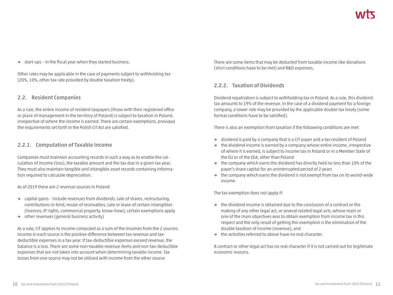**→** start-ups – in the fiscal year when they started business.

Other rates may be applicable in the case of payments subject to withholding tax (20%, 10%, other tax rate provided by double taxation treaty).

#### **2.2. Resident Companies**

As a rule, the entire income of resident taxpayers (those with their registered office or place of management in the territory of Poland) is subject to taxation in Poland, irrespective of where the income is earned. There are certain exemptions, provided the requirements set forth in the Polish CIT Act are satisfied.

#### **2.2.1. Computation of Taxable Income**

Companies must maintain accounting records in such a way as to enable the calculation of income (loss), the taxable amount and the tax due in a given tax year. They must also maintain tangible and intangible asset records containing information required to calculate depreciation.

As of 2019 there are 2 revenue sources in Poland:

- **→** capital gains include revenues from dividends, sale of shares, restructuring, contributions in-kind, resale of receivables, sale or lease of certain intangibles (licences, IP rights, commercial property, know-how); certain exemptions apply
- **→** other revenues (general business activity)

As a rule, CIT applies to income computed as a sum of the incomes from the 2 sources. Income in each source is the positive difference between tax revenue and taxdeductible expenses in a tax year. If tax-deductible expenses exceed revenue, the balance is a loss. There are some non-taxable revenue items and non-tax-deductible expenses that are not taken into account when determining taxable income. Tax losses from one source may not be utilised with income from the other source.

There are some items that may be deducted from taxable income like donations (strict conditions have to be met) and R&D expenses.

### **2.2.2. Taxation of Dividends**

Dividend repatriation is subject to withholding tax in Poland. As a rule, this dividend tax amounts to 19% of the revenue. In the case of a dividend payment for a foreign company, a lower rate may be provided by the applicable double tax treaty (some formal conditions have to be satisfied).

There is also an exemption from taxation if the following conditions are met:

- **→** dividend is paid by a company that is a CIT-payer and a tax resident of Poland
- **→** the dividend income is earned by a company whose entire income, irrespective of where it is earned, is subject to income tax in Poland or in a Member State of the EU or of the EEA, other than Poland
- **→** the company which earns the dividend has directly held no less than 10% of the payer's share capital for an uninterrupted period of 2 years
- **→** the company which earns the dividend is not exempt from tax on its world-wide income

The tax exemption does not apply if:

- **→** the dividend income is obtained due to the conclusion of a contract or the making of any other legal act, or several related legal acts, whose main or one of the main objectives was to obtain exemption from income tax in this respect and the only result of getting this exemption is the elimination of the double taxation of income (revenue), and
- **→** the activities referred to above have no real character.

A contract or other legal act has no real character if it is not carried out for legitimate economic reasons.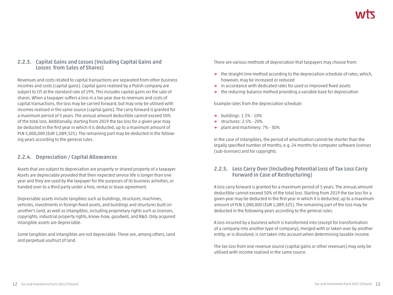### **2.2.3. Capital Gains and Losses (Including Capital Gains and Losses from Sales of Shares)**

Revenues and costs related to capital transactions are separated from other business incomes and costs (capital gains). Capital gains realised by a Polish company are subject to CIT at the standard rate of 19%. This includes capital gains on the sale of shares. When a taxpayer suffers a loss in a tax year due to revenues and costs of capital transactions, the loss may be carried forward, but may only be utilised with incomes realised in the same source (capital gains). The carry forward is granted for a maximum period of 5 years. The annual amount deductible cannot exceed 50% of the total loss. Additionally, starting from 2019 the tax loss for a given year may be deducted in the first year in which it is deducted, up to a maximum amount of PLN 5,000,000 (EUR 1,089,325). The remaining part may be deducted in the following years according to the general rules.

### **2.2.4. Depreciation / Capital Allowances**

Assets that are subject to depreciation are property or shared property of a taxpayer. Assets are depreciable provided that their expected service life is longer than one year and they are used by the taxpayer for the purposes of its business activities, or handed over to a third party under a hire, rental or lease agreement.

Depreciable assets include tangibles such as buildings, structures, machines, vehicles, investments in foreign fixed assets, and buildings and structures built on another's land, as well as intangibles, including proprietary rights such as licenses, copyrights, industrial property rights, know-how, goodwill, and R&D. Only acquired intangible assets are depreciable.

Some tangibles and intangibles are not depreciable. These are, among others, land and perpetual usufruct of land.

There are various methods of depreciation that taxpayers may choose from:

- **→** the straight-line method according to the depreciation schedule of rates, which, however, may be increased or reduced
- **→** in accordance with dedicated rates for used or improved fixed assets
- **→** the reducing-balance method providing a variable base for depreciation

Example rates from the depreciation schedule:

- **→** buildings: 1.5% 10%
- **→** structures: 2.5% 20%
- **→** plant and machinery: 7% 30%

In the case of intangibles, the period of amortisation cannot be shorter than the legally specified number of months, e.g. 24 months for computer software licenses (sub-licenses) and for copyrights.

### **2.2.5. Loss Carry Over (Including Potential Loss of Tax Loss Carry Forward in Case of Restructuring)**

A loss carry forward is granted for a maximum period of 5 years. The annual amount deductible cannot exceed 50% of the total loss. Starting from 2019 the tax loss for a given year may be deducted in the first year in which it is deducted, up to a maximum amount of PLN 5,000,000 (EUR 1,089,325). The remaining part of the loss may be deducted in the following years according to the general rules.

A loss incurred by a business which is transformed into (except for transformation of a company into another type of company), merged with or taken over by another entity, or is dissolved, is not taken into account when determining taxable income.

The tax loss from one revenue source (capital gains or other revenues) may only be utilised with income realised in the same source.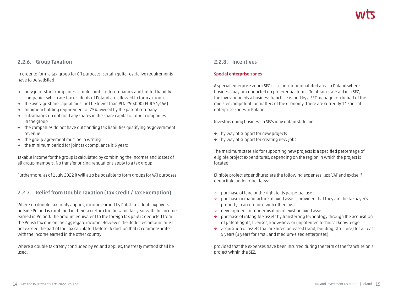### **2.2.6. Group Taxation**

In order to form a tax group for CIT purposes, certain quite restrictive requirements have to be satisfied:

- **→** only joint-stock companies, simple joint-stock companies and limited liability companies which are tax residents of Poland are allowed to form a group
- **→** the average share capital must not be lower than PLN 250,000 (EUR 54,466)
- **→** minimum holding requirement of 75% owned by the parent company
- **→** subsidiaries do not hold any shares in the share capital of other companies in the group
- **→** the companies do not have outstanding tax liabilities qualifying as government revenue
- **→** the group agreement must be in writing
- **→** the minimum period for joint tax compliance is 3 years

Taxable income for the group is calculated by combining the incomes and losses of all group members. No transfer pricing regulations apply to a tax group.

Furthermore, as of 1 July 2022 it will also be possible to form groups for VAT purposes.

### **2.2.7. Relief from Double Taxation (Tax Credit / Tax Exemption)**

Where no double tax treaty applies, income earned by Polish resident taxpayers outside Poland is combined in their tax return for the same tax year with the income earned in Poland. The amount equivalent to the foreign tax paid is deducted from the Polish tax due on the aggregate income. However, the deducted amount must not exceed the part of the tax calculated before deduction that is commensurate with the income earned in the other country.

Where a double tax treaty concluded by Poland applies, the treaty method shall be used.

#### **2.2.8. Incentives**

#### **Special enterprise zones**

A special enterprise zone (SEZ) is a specific uninhabited area in Poland where business may be conducted on preferential terms. To obtain state aid in a SEZ, the investor needs a business franchise issued by a SEZ manager on behalf of the minister competent for matters of the economy. There are currently 14 special enterprise zones in Poland.

Investors doing business in SEZs may obtain state aid:

- **→** by way of support for new projects
- **→** by way of support for creating new jobs

The maximum state aid for supporting new projects is a specified percentage of eligible project expenditures, depending on the region in which the project is located.

Eligible project expenditures are the following expenses, less VAT and excise if deductible under other laws:

- **→** purchase of land or the right to its perpetual use
- **→** purchase or manufacture of fixed assets, provided that they are the taxpayer's property in accordance with other laws
- **→** development or modernisation of existing fixed assets
- **→** purchase of intangible assets by transferring technology through the acquisition of patent rights, licenses, know-how or unpatented technical knowledge
- **→** acquisition of assets that are hired or leased (land, building, structure) for at least 5 years (3 years for small and medium-sized enterprises),

provided that the expenses have been incurred during the term of the franchise on a project within the SEZ.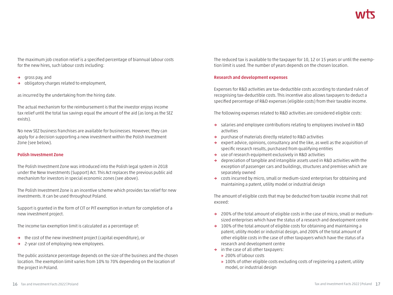The maximum job creation relief is a specified percentage of biannual labour costs for the new hires, such labour costs including:

- **→** gross pay, and
- **→** obligatory charges related to employment,

as incurred by the undertaking from the hiring date.

The actual mechanism for the reimbursement is that the investor enjoys income tax relief until the total tax savings equal the amount of the aid (as long as the SEZ exists).

No new SEZ business franchises are available for businesses. However, they can apply for a decision supporting a new investment within the Polish Investment Zone (see below).

#### **Polish Investment Zone**

The Polish Investment Zone was introduced into the Polish legal system in 2018 under the New Investments (Support) Act. This Act replaces the previous public aid mechanism for investors in special economic zones (see above).

The Polish Investment Zone is an incentive scheme which provides tax relief for new investments. It can be used throughout Poland.

Support is granted in the form of CIT or PIT exemption in return for completion of a new investment project.

The income tax exemption limit is calculated as a percentage of:

- **→** the cost of the new investment project (capital expenditure), or
- **→** 2-year cost of employing new employees.

The public assistance percentage depends on the size of the business and the chosen location. The exemption limit varies from 10% to 70% depending on the location of the project in Poland.

The reduced tax is available to the taxpayer for 10, 12 or 15 years or until the exemption limit is used. The number of years depends on the chosen location.

#### **Research and development expenses**

Expenses for R&D activities are tax-deductible costs according to standard rules of recognising tax-deductible costs. This incentive also allows taxpayers to deduct a specified percentage of R&D expenses (eligible costs) from their taxable income.

The following expenses related to R&D activities are considered eligible costs:

- **→** salaries and employee contributions relating to employees involved in R&D activities
- **→** purchase of materials directly related to R&D activities
- **→** expert advice, opinions, consultancy and the like, as well as the acquisition of specific research results, purchased from qualifying entities
- **→** use of research equipment exclusively in R&D activities
- **→** depreciation of tangible and intangible assets used in R&D activities with the exception of passenger cars and buildings, structures and premises which are separately owned
- **→** costs incurred by micro, small or medium-sized enterprises for obtaining and maintaining a patent, utility model or industrial design

The amount of eligible costs that may be deducted from taxable income shall not exceed:

- **→** 200% of the total amount of eligible costs in the case of micro, small or mediumsized enterprises which have the status of a research and development centre
- **→** 100% of the total amount of eligible costs for obtaining and maintaining a patent, utility model or industrial design, and 200% of the total amount of other eligible costs in the case of other taxpayers which have the status of a research and development centre
- **→** in the case of all other taxpayers:
	- **»** 200% of labour costs
	- **»** 100% of other eligible costs excluding costs of registering a patent, utility model, or industrial design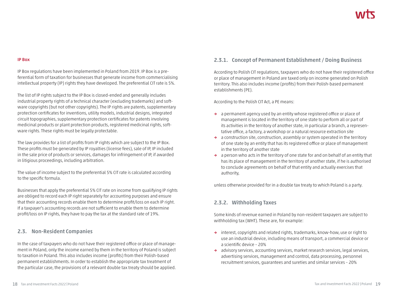#### **IP Box**

IP Box regulations have been implemented in Poland from 2019. IP Box is a preferential form of taxation for businesses that generate income from commercialising intellectual property (IP) rights they have developed. The preferential CIT rate is 5%.

The list of IP rights subject to the IP Box is closed-ended and generally includes industrial property rights of a technical character (excluding trademarks) and software copyrights (but not other copyrights). The IP rights are patents, supplementary protection certificates for inventions, utility models, industrial designs, integrated circuit topographies, supplementary protection certificates for patents involving medicinal products or plant protection products, registered medicinal rights, software rights. These rights must be legally protectable.

The law provides for a list of profits from IP rights which are subject to the IP Box. These profits must be generated by IP royalties (license fees), sale of IP, IP included in the sale price of products or services, damages for infringement of IP, if awarded in litigious proceedings, including arbitration.

The value of income subject to the preferential 5% CIT rate is calculated according to the specific formula.

Businesses that apply the preferential 5% CIT rate on income from qualifying IP rights are obliged to record each IP right separately for accounting purposes and ensure that their accounting records enable them to determine profit/loss on each IP right. If a taxpayer's accounting records are not sufficient to enable them to determine profit/loss on IP rights, they have to pay the tax at the standard rate of 19%.

### **2.3. Non-Resident Companies**

In the case of taxpayers who do not have their registered office or place of management in Poland, only the income earned by them in the territory of Poland is subject to taxation in Poland. This also includes income (profits) from their Polish-based permanent establishments. In order to establish the appropriate tax treatment of the particular case, the provisions of a relevant double tax treaty should be applied.

### **2.3.1. Concept of Permanent Establishment / Doing Business**

According to Polish CIT regulations, taxpayers who do not have their registered office or place of management in Poland are taxed only on income generated on Polish territory. This also includes income (profits) from their Polish-based permanent establishments (PE).

According to the Polish CIT Act, a PE means:

- **→** a permanent agency used by an entity whose registered office or place of management is located in the territory of one state to perform all or part of its activities in the territory of another state, in particular a branch, a representative office, a factory, a workshop or a natural resource extraction site
- **→** a construction site, construction, assembly or system operated in the territory of one state by an entity that has its registered office or place of management in the territory of another state
- **→** a person who acts in the territory of one state for and on behalf of an entity that has its place of management in the territory of another state, if he is authorised to conclude agreements on behalf of that entity and actually exercises that authority,

unless otherwise provided for in a double tax treaty to which Poland is a party.

### **2.3.2. Withholding Taxes**

Some kinds of revenue earned in Poland by non-resident taxpayers are subject to withholding tax (WHT). These are, for example:

- **→** interest, copyrights and related rights, trademarks, know-how, use or right to use an industrial device, including means of transport, a commercial device or a scientific device – 20%
- **→** advisory services, accounting services, market research services, legal services, advertising services, management and control, data processing, personnel recruitment services, guarantees and sureties and similar services – 20%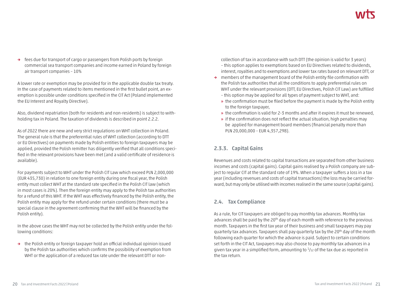**→** fees due for transport of cargo or passengers from Polish ports by foreign commercial sea transport companies and income earned in Poland by foreign air transport companies – 10%

A lower rate or exemption may be provided for in the applicable double tax treaty. In the case of payments related to items mentioned in the first bullet point, an exemption is possible under conditions specified in the CIT Act (Poland implemented the EU Interest and Royalty Directive).

Also, dividend repatriation (both for residents and non-residents) is subject to withholding tax in Poland. The taxation of dividends is described in point 2.2.2.

As of 2022 there are new and very strict regulations on WHT collection in Poland. The general rule is that the preferential rules of WHT collection (according to DTT or EU Directives) on payments made by Polish entities to foreign taxpayers may be applied, provided the Polish remitter has diligently verified that all conditions specified in the relevant provisions have been met (and a valid certificate of residence is available).

For payments subject to WHT under the Polish CIT Law which exceed PLN 2,000,000 (EUR 435,730) in relation to one foreign entity during one fiscal year, the Polish entity must collect WHT at the standard rate specified in the Polish CIT law (which in most cases is 20%). Then the foreign entity may apply to the Polish tax authorities for a refund of this WHT. If the WHT was effectively financed by the Polish entity, the Polish entity may apply for the refund under certain conditions (there must be a special clause in the agreement confirming that the WHT will be financed by the Polish entity).

In the above cases the WHT may not be collected by the Polish entity under the following conditions:

**→** the Polish entity or foreign taxpayer hold an official individual opinion issued by the Polish tax authorities which confirms the possibility of exemption from WHT or the application of a reduced tax rate under the relevant DTT or non-

collection of tax in accordance with such DTT (the opinion is valid for 3 years) – this option applies to exemptions based on EU Directives related to dividends, interest, royalties and to exemptions and lower tax rates based on relevant DTT, or

- **→** members of the management board of the Polish entity file confirmation with the Polish tax authorities that all the conditions to apply preferential rules on WHT under the relevant provisions (DTT, EU Directives, Polish CIT Law) are fulfilled – this option may be applied for all types of payment subject to WHT, and:
	- **»** the confirmation must be filed before the payment is made by the Polish entity to the foreign taxpayer,
	- **»** the confirmation is valid for 2-3 months and after it expires it must be renewed,
	- **»** if the confirmation does not reflect the actual situation, high penalties may be applied for management board members (financial penalty more than PLN 20,000,000 – EUR 4,357,298).

### **2.3.3. Capital Gains**

Revenues and costs related to capital transactions are separated from other business incomes and costs (capital gains). Capital gains realised by a Polish company are subject to regular CIT at the standard rate of 19%. When a taxpayer suffers a loss in a tax year (including revenues and costs of capital transactions) the loss may be carried forward, but may only be utilised with incomes realised in the same source (capital gains).

### **2.4. Tax Compliance**

As a rule, for CIT taxpayers are obliged to pay monthly tax advances. Monthly tax advances shall be paid by the 20<sup>th</sup> day of each month with reference to the previous month. Taxpayers in the first tax year of their business and small taxpayers may pay quarterly tax advances. Taxpayers shall pay quarterly tax by the 20<sup>th</sup> day of the month following each quarter for which the advance is paid. Subject to certain conditions set forth in the CIT Act, taxpayers may also choose to pay monthly tax advances in a given tax year in a simplified form, amounting to  $\frac{1}{12}$  of the tax due as reported in the tax return.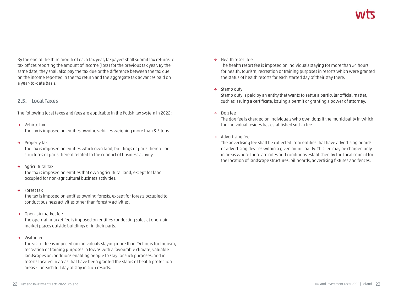By the end of the third month of each tax year, taxpayers shall submit tax returns to tax offices reporting the amount of income (loss) for the previous tax year. By the same date, they shall also pay the tax due or the difference between the tax due on the income reported in the tax return and the aggregate tax advances paid on a year-to-date basis.

### **2.5. Local Taxes**

The following local taxes and fees are applicable in the Polish tax system in 2022:

**→** Vehicle tax

The tax is imposed on entities owning vehicles weighing more than 3.5 tons.

**→** Property tax

The tax is imposed on entities which own land, buildings or parts thereof, or structures or parts thereof related to the conduct of business activity.

**→** Agricultural tax

The tax is imposed on entities that own agricultural land, except for land occupied for non-agricultural business activities.

**→** Forest tax

The tax is imposed on entities owning forests, except for forests occupied to conduct business activities other than forestry activities.

**→** Open-air market fee

The open-air market fee is imposed on entities conducting sales at open-air market places outside buildings or in their parts.

**→** Visitor fee

The visitor fee is imposed on individuals staying more than 24 hours for tourism, recreation or training purposes in towns with a favourable climate, valuable landscapes or conditions enabling people to stay for such purposes, and in resorts located in areas that have been granted the status of health protection areas - for each full day of stay in such resorts.

**→** Health resort fee

The health resort fee is imposed on individuals staying for more than 24 hours for health, tourism, recreation or training purposes in resorts which were granted the status of health resorts for each started day of their stay there.

**→** Stamp duty

Stamp duty is paid by an entity that wants to settle a particular official matter, such as issuing a certificate, issuing a permit or granting a power of attorney.

**→** Dog fee

The dog fee is charged on individuals who own dogs if the municipality in which the individual resides has established such a fee.

**→** Advertising fee

The advertising fee shall be collected from entities that have advertising boards or advertising devices within a given municipality. This fee may be charged only in areas where there are rules and conditions established by the local council for the location of landscape structures, billboards, advertising fixtures and fences.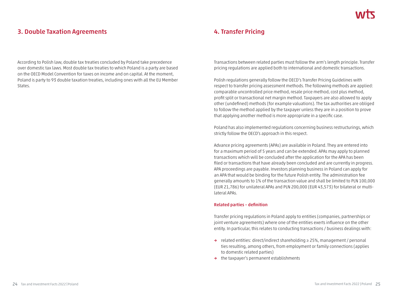### **3. Double Taxation Agreements**

According to Polish law, double tax treaties concluded by Poland take precedence over domestic tax laws. Most double tax treaties to which Poland is a party are based on the OECD Model Convention for taxes on income and on capital. At the moment, Poland is party to 93 double taxation treaties, including ones with all the EU Member States.

### **4. Transfer Pricing**

Transactions between related parties must follow the arm's length principle. Transfer pricing regulations are applied both to international and domestic transactions.

Polish regulations generally follow the OECD's Transfer Pricing Guidelines with respect to transfer pricing assessment methods. The following methods are applied: comparable uncontrolled price method, resale price method, cost plus method, profit split or transactional net margin method. Taxpayers are also allowed to apply other (undefined) methods (for example valuations). The tax authorities are obliged to follow the method applied by the taxpayer unless they are in a position to prove that applying another method is more appropriate in a specific case.

Poland has also implemented regulations concerning business restructurings, which strictly follow the OECD's approach in this respect.

Advance pricing agreements (APAs) are available in Poland. They are entered into for a maximum period of 5 years and can be extended. APAs may apply to planned transactions which will be concluded after the application for the APA has been filed or transactions that have already been concluded and are currently in progress. APA proceedings are payable. Investors planning business in Poland can apply for an APA that would be binding for the future Polish entity. The administration fee generally amounts to 1% of the transaction value and shall be limited to PLN 100,000 (EUR 21,786) for unilateral APAs and PLN 200,000 (EUR 43,573) for bilateral or multilateral APAs.

#### **Related parties – definition**

Transfer pricing regulations in Poland apply to entities (companies, partnerships or joint venture agreements) where one of the entities exerts influence on the other entity. In particular, this relates to conducting transactions / business dealings with:

- **→** related entities: direct/indirect shareholding ≥ 25%, management / personal ties resulting, among others, from employment or family connections (applies to domestic related parties)
- **→** the taxpayer's permanent establishments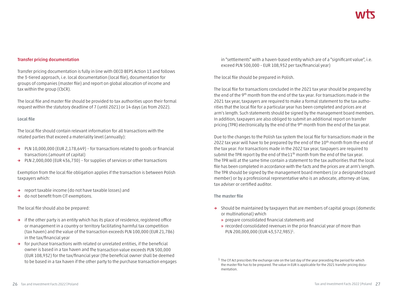#### **Transfer pricing documentation**

Transfer pricing documentation is fully in line with OECD BEPS Action 13 and follows the 3-tiered approach, i.e. local documentation (local file), documentation for groups of companies (master file) and report on global allocation of income and tax within the group (CbCR).

The local file and master file should be provided to tax authorities upon their formal request within the statutory deadline of 7 (until 2021) or 14 days (as from 2022).

#### **Local file**

The local file should contain relevant information for all transactions with the related parties that exceed a materiality level (annually):

- **→** PLN 10,000,000 (EUR 2,178,649) for transactions related to goods or financial transactions (amount of capital)
- **→** PLN 2,000,000 (EUR 436,730) for supplies of services or other transactions

Exemption from the local file obligation applies if the transaction is between Polish taxpayers which:

- **→** report taxable income (do not have taxable losses) and
- **→** do not benefit from CIT exemptions.

The local file should also be prepared:

- **→** if the other party is an entity which has its place of residence, registered office or management in a country or territory facilitating harmful tax competition (tax haven) and the value of the transaction exceeds PLN 100,000 (EUR 21,786) in the tax/financial year
- **→** for purchase transactions with related or unrelated entities, if the beneficial owner is based in a tax haven and the transaction value exceeds PLN 500,000 (EUR 108,932) for the tax/financial year (the beneficial owner shall be deemed to be based in a tax haven if the other party to the purchase transaction engages

in "settlements" with a haven-based entity which are of a "significant value", i.e. exceed PLN 500,000 – EUR 108,932 per tax/financial year)

The local file should be prepared in Polish.

The local file for transactions concluded in the 2021 tax year should be prepared by the end of the 9th month from the end of the tax year. For transactions made in the 2021 tax year, taxpayers are required to make a formal statement to the tax authorities that the local file for a particular year has been completed and prices are at arm's length. Such statements should be signed by the management board members. In addition, taxpayers are also obliged to submit an additional report on transfer pricing (TPR) electronically by the end of the 9<sup>th</sup> month from the end of the tax year.

Due to the changes to the Polish tax system the local file for transactions made in the 2022 tax year will have to be prepared by the end of the  $10<sup>th</sup>$  month from the end of the tax year. For transactions made in the 2022 tax year, taxpayers are required to submit the TPR report by the end of the11<sup>th</sup> month from the end of the tax year. The TPR will at the same time contain a statement to the tax authorities that the local file has been completed in accordance with the facts and the prices are at arm's length. The TPR should be signed by the management board members (or a designated board member) or by a professional representative who is an advocate, attorney-at-law, tax adviser or certified auditor.

#### **The master file**

- **→** Should be maintained by taxpayers that are members of capital groups (domestic or multinational) which
	- **»** prepare consolidated financial statements and
	- **»** recorded consolidated revenues in the prior financial year of more than PLN 200,000,000 (EUR 43,572,985)<sup>1</sup>.

 $1$  The CIT Act prescribes the exchange rate on the last day of the year preceding the period for which the master file has to be prepared. The value in EUR is applicable for the 2021 transfer pricing documentation.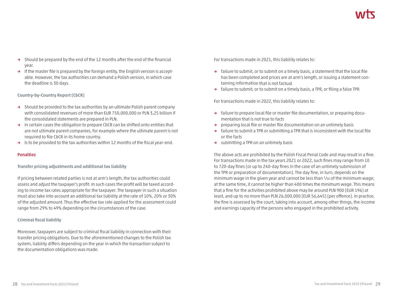- **→** Should be prepared by the end of the 12 months after the end of the financial year.
- **→** If the master file is prepared by the foreign entity, the English version is acceptable. However, the tax authorities can demand a Polish version, in which case the deadline is 30 days.

**Country-by-Country Report (CbCR)**

- **→** Should be provided to the tax authorities by an ultimate Polish parent company with consolidated revenues of more than EUR 750,000,000 or PLN 3,25 billion if the consolidated statements are prepared in PLN.
- **→** In certain cases the obligation to prepare CbCR can be shifted onto entities that are not ultimate parent companies, for example where the ultimate parent is not required to file CbCR in its home country.
- **→** Is to be provided to the tax authorities within 12 months of the fiscal year-end.

#### **Penalties**

**Transfer pricing adjustments and additional tax liability**

If pricing between related parties is not at arm's length, the tax authorities could assess and adjust the taxpayer's profit. In such cases the profit will be taxed according to income tax rates appropriate for the taxpayer. The taxpayer in such a situation must also take into account an additional tax liability at the rate of 10%, 20% or 30% of the adjusted amount. Thus the effective tax rate applied for the assessment could range from 29% to 49% depending on the circumstances of the case.

#### **Criminal fiscal liability**

Moreover, taxpayers are subject to criminal fiscal liability in connection with their transfer pricing obligations. Due to the aforementioned changes to the Polish tax system, liability differs depending on the year in which the transaction subject to the documentation obligations was made.

For transactions made in 2021, this liability relates to:

- **→** failure to submit, or to submit on a timely basis, a statement that the local file has been completed and prices are at arm's length, or issuing a statement containing information that is not factual
- **→** failure to submit, or to submit on a timely basis, a TPR, or filing a false TPR

For transactions made in 2022, this liability relates to:

- **→** failure to prepare local file or master file documentation, or preparing documentation that is not true to facts
- **→** preparing local file or master file documentation on an untimely basis
- **→** failure to submit a TPR or submitting a TPR that is inconsistent with the local file or the facts
- **→** submitting a TPR on an untimely basis

The above acts are prohibited by the Polish Fiscal Penal Code and may result in a fine. For transactions made in the tax years 2021 or 2022, such fines may range from 10 to 720-day fines (or up to 240-day fines in the case of an untimely submission of the TPR or preparation of documentation). The day fine, in turn, depends on the minimum wage in the given year and cannot be less than  $\frac{1}{30}$  of the minimum wage; at the same time, it cannot be higher than 400 times the minimum wage. This means that a fine for the activities prohibited above may be around PLN 900 (EUR 196) at least, and up to no more than PLN 26,000,000 (EUR 56,645) (per offence). In practice, the fine is assessed by the court, taking into account, among other things, the income and earnings capacity of the persons who engaged in the prohibited activity.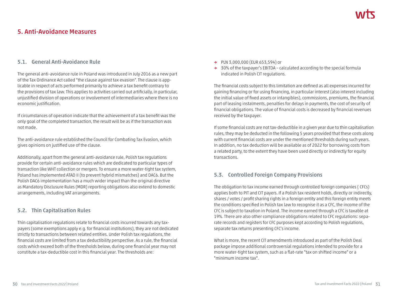### **5. Anti-Avoidance Measures**

#### **5.1. General Anti-Avoidance Rule**

The general anti-avoidance rule in Poland was introduced in July 2016 as a new part of the Tax Ordinance Act called "the clause against tax evasion". The clause is applicable in respect of acts performed primarily to achieve a tax benefit contrary to the provisions of tax law. This applies to activities carried out artificially, in particular, unjustified division of operations or involvement of intermediaries where there is no economic justification.

If circumstances of operation indicate that the achievement of a tax benefit was the only goal of the completed transaction, the result will be as if the transaction was not made.

The anti-avoidance rule established the Council for Combating Tax Evasion, which gives opinions on justified use of the clause.

Additionally, apart from the general anti-avoidance rule, Polish tax regulations provide for certain anti-avoidance rules which are dedicated to particular types of transaction like WHT collection or mergers. To ensure a more water-tight tax system, Poland has implemented ATAD II (to prevent hybrid mismatches) and DAC6. But the Polish DAC6 implementation has a much wider impact than the original directive as Mandatory Disclusure Rules (MDR) reporting obligations also extend to domestic arrangements, including VAT arrangements.

### **5.2. Thin Capitalisation Rules**

Thin capitalisation regulations relate to financial costs incurred towards any taxpayers (some exemptions apply e.g. for financial institutions), they are not dedicated strictly to transactions between related entities. Under Polish tax regulations, the financial costs are limited from a tax deductibility perspective. As a rule, the financial costs which exceed both of the thresholds below, during one financial year may not constitute a tax-deductible cost in this financial year. The thresholds are:

- **→** PLN 3,000,000 (EUR 653,594) or
- **→** 30% of the taxpayer's EBITDA calculated according to the special formula indicated in Polish CIT regulations.

The financial costs subject to this limitation are defined as all expenses incurred for gaining financing or for using financing, in particular interest (also interest including the initial value of fixed assets or intangibles), commissions, premiums, the financial part of leasing instalments, penalties for delays in payments, the cost of security of financial obligations. The value of financial costs is decreased by financial revenues received by the taxpayer.

If some financial costs are not tax-deductible in a given year due to thin capitalisation rules, they may be deducted in the following 5 years provided that these costs along with current financial costs are under the mentioned thresholds during such years. In addition, no tax deduction will be available as of 2022 for borrowing costs from a related party, to the extent they have been used directly or indirectly for equity transactions.

### **5.3. Controlled Foreign Company Provisions**

The obligation to tax income earned through controlled foreign companies ( CFCs) applies both to PIT and CIT payers. If a Polish tax resident holds, directly or indirectly, shares / votes / profit sharing rights in a foreign entity and this foreign entity meets the conditions specified in Polish tax law to recognise it as a CFC, the income of the CFC is subject to taxation in Poland. The income earned through a CFC is taxable at 19%. There are also other compliance obligations related to CFC regulations: separate records and registers for CFC purposes kept according to Polish regulations, separate tax returns presenting CFC's income.

What is more, the recent CIT amendments introduced as part of the Polish Deal package impose additional controversial regulations intended to provide for a more water-tight tax system, such as a flat-rate "tax on shifted income" or a "minimum income tax".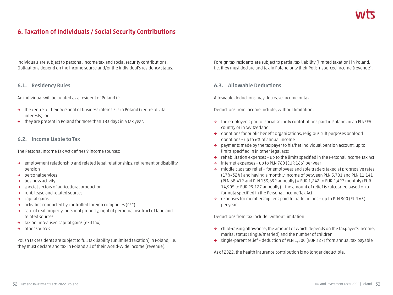### **6. Taxation of Individuals / Social Security Contributions**

Individuals are subject to personal income tax and social security contributions. Obligations depend on the income source and/or the individual's residency status.

#### **6.1. Residency Rules**

An individual will be treated as a resident of Poland if:

- **→** the centre of their personal or business interests is in Poland (centre of vital interests), or
- **→** they are present in Poland for more than 183 days in a tax year.

#### **6.2. Income Liable to Tax**

The Personal Income Tax Act defines 9 income sources:

- **→** employment relationship and related legal relationships, retirement or disability pension
- **→** personal services
- **→** business activity
- **→** special sectors of agricultural production
- **→** rent, lease and related sources
- **→** capital gains
- **→** activities conducted by controlled foreign companies (CFC)
- **→** sale of real property, personal property, right of perpetual usufruct of land and related sources
- **→** tax on unrealised capital gains (exit tax)
- **→** other sources

Polish tax residents are subject to full tax liability (unlimited taxation) in Poland, i.e. they must declare and tax in Poland all of their world-wide income (revenue).

Foreign tax residents are subject to partial tax liability (limited taxation) in Poland, i.e. they must declare and tax in Poland only their Polish-sourced income (revenue).

#### **6.3. Allowable Deductions**

Allowable deductions may decrease income or tax.

Deductions from income include, without limitation:

- **→** the employee's part of social security contributions paid in Poland, in an EU/EEA country or in Switzerland
- **→** donations for public benefit organisations, religious cult purposes or blood donations – up to 6% of annual income
- **→** payments made by the taxpayer to his/her individual pension account, up to limits specified in in other legal acts
- **→** rehabilitation expenses up to the limits specified in the Personal Income Tax Act
- **→** internet expenses up to PLN 760 (EUR 166) per year
- **→** middle class tax relief for employees and sole traders taxed at progressive rates (17%/32%) and having a monthly income of between PLN 5,701 and PLN 11,141 (PLN 68,412 and PLN 133,692 annually) = EUR 1,242 to EUR 2,427 monthly (EUR 14,905 to EUR 29,127 annually) – the amount of relief is calculated based on a formula specified in the Personal Income Tax Act
- **→** expenses for membership fees paid to trade unions up to PLN 300 (EUR 65) per year

Deductions from tax include, without limitation:

- **→** child-raising allowance, the amount of which depends on the taxpayer's income, marital status (single/married) and the number of children
- **→** single-parent relief deduction of PLN 1,500 (EUR 327) from annual tax payable

As of 2022, the health insurance contribution is no longer deductible.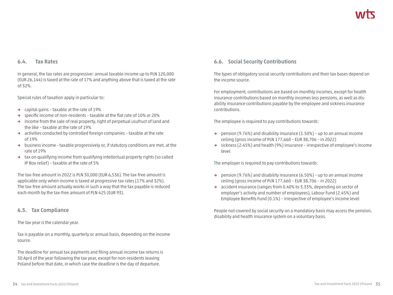#### **6.4. Tax Rates**

In general, the tax rates are progressive: annual taxable income up to PLN 120,000 (EUR 26,144) is taxed at the rate of 17% and anything above that is taxed at the rate of 32%.

Special rules of taxation apply in particular to:

- **→** capital gains taxable at the rate of 19%
- **→** specific income of non-residents taxable at the flat rate of 10% or 20%
- **→** income from the sale of real property, right of perpetual usufruct of land and the like – taxable at the rate of 19%
- **→** activities conducted by controlled foreign companies taxable at the rate of 19%
- **→** business income taxable progressively or, if statutory conditions are met, at the rate of 19%
- **→** tax on qualifying income from qualifying intellectual property rights (so called IP Box relief) – taxable at the rate of 5%

The tax-free amount in 2022 is PLN 30,000 (EUR 6,536). The tax-free amount is applicable only when income is taxed at progressive tax rates (17% and 32%). The tax-free amount actually works in such a way that the tax payable is reduced each month by the tax-free amount of PLN 425 (EUR 93).

#### **6.5. Tax Compliance**

The tax year is the calendar year.

Tax is payable on a monthly, quarterly or annual basis, depending on the income source.

The deadline for annual tax payments and filing annual income tax returns is 30 April of the year following the tax year, except for non-residents leaving Poland before that date, in which case the deadline is the day of departure.

### **6.6. Social Security Contributions**

The types of obligatory social security contributions and their tax bases depend on the income source.

For employment, contributions are based on monthly incomes, except for health insurance contributions based on monthly incomes less pensions, as well as disability insurance contributions payable by the employee and sickness insurance contributions.

The employee is required to pay contributions towards:

- **→** pension (9.76%) and disability insurance (1.50%) up to an annual income ceiling (gross income of PLN 177,660 – EUR 38,706 – in 2022)
- **→** sickness (2.45%) and health (9%) insurance irrespective of employee's income level

The employer is required to pay contributions towards:

- **→** pension (9.76%) and disability insurance (6.50%) up to an annual income ceiling (gross income of PLN 177,660 – EUR 38,706 – in 2022)
- **→** accident insurance (ranges from 0.40% to 3.33%, depending on sector of employer's activity and number of employees), Labour Fund (2.45%) and Employee Benefits Fund (0.1%) – irrespective of employee's income level

People not covered by social security on a mandatory basis may access the pension, disability and health insurance system on a voluntary basis.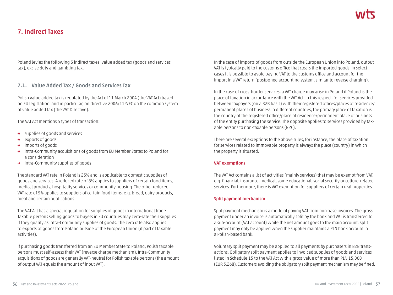### **7. Indirect Taxes**

Poland levies the following 3 indirect taxes: value added tax (goods and services tax), excise duty and gambling tax.

#### **7.1. Value Added Tax / Goods and Services Tax**

Polish value added tax is regulated by the Act of 11 March 2004 (the VAT Act) based on EU legislation, and in particular, on Directive 2006/112/EC on the common system of value added tax (the VAT Directive).

The VAT Act mentions 5 types of transaction:

- **→** supplies of goods and services
- **→** exports of goods
- **→** imports of goods
- **→** intra-Community acquisitions of goods from EU Member States to Poland for a consideration
- **→** intra-Community supplies of goods

The standard VAT rate in Poland is 23% and is applicable to domestic supplies of goods and services. A reduced rate of 8% applies to suppliers of certain food items, medical products, hospitality services or community housing. The other reduced VAT rate of 5% applies to suppliers of certain food items, e.g. bread, dairy products, meat and certain publications.

The VAT Act has a special regulation for supplies of goods in international trade. Taxable persons selling goods to buyers in EU countries may zero-rate their supplies if they qualify as intra-Community supplies of goods. The zero rate also applies to exports of goods from Poland outside of the European Union (if part of taxable activities).

If purchasing goods transferred from an EU Member State to Poland, Polish taxable persons must self-assess their VAT (reverse charge mechanism). Intra-Community acquisitions of goods are generally VAT-neutral for Polish taxable persons (the amount of output VAT equals the amount of input VAT).

In the case of imports of goods from outside the European Union into Poland, output VAT is typically paid to the customs office that clears the imported goods. In select cases it is possible to avoid paying VAT to the customs office and account for the import in a VAT return (postponed accounting system, similar to reverse charging).

In the case of cross-border services, a VAT charge may arise in Poland if Poland is the place of taxation in accordance with the VAT Act. In this respect, for services provided between taxpayers (on a B2B basis) with their registered offices/places of residence/ permanent places of business in different countries, the primary place of taxation is the country of the registered office/place of residence/permanent place of business of the entity purchasing the service. The opposite applies to services provided by taxable persons to non-taxable persons (B2C).

There are several exceptions to the above rules, for instance, the place of taxation for services related to immovable property is always the place (country) in which the property is situated.

#### **VAT exemptions**

The VAT Act contains a list of activities (mainly services) that may be exempt from VAT, e.g. financial, insurance, medical, some educational, social security or culture-related services. Furthermore, there is VAT exemption for suppliers of certain real properties.

#### **Split payment mechanism**

Split payment mechanism is a mode of paying VAT from purchase invoices. The gross payment under an invoice is automatically split by the bank and VAT is transferred to a sub-account (VAT account) while the net amount goes to the main account. Split payment may only be applied when the supplier maintains a PLN bank account in a Polish-based bank.

Voluntary split payment may be applied to all payments by purchasers in B2B transactions. Obligatory split payment applies to invoiced supplies of goods and services listed in Schedule 15 to the VAT Act with a gross value of more than PLN 15,000 (EUR 3,268). Customers avoiding the obligatory split payment mechanism may be fined.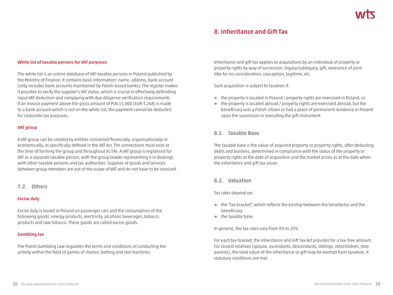### **8. Inheritance and Gift Tax**

#### **White list of taxable persons for VAT purposes**

The white list is an online database of VAT-taxable persons in Poland published by the Ministry of Finance. It contains basic information: name, address, bank account (only includes bank accounts maintained by Polish-based banks). The register makes it possible to verify the supplier's VAT status, which is crucial in effectively defending input VAT deduction and complying with due diligence verification requirements. If an invoice payment above the gross amount of PLN 15,000 (EUR 3,268) is made to a bank account which is not on the white list, the payment cannot be deducted for corporate tax purposes.

#### **VAT group**

A VAT group can be created by entities connected financially, organisationally or economically, as specifically defined in the VAT Act. The connections must exist at the time of forming the group and throughout its life. A VAT group is registered for VAT as a separate taxable person, with the group leader representing it in dealings with other taxable persons and tax authorities. Supplies of goods and services between group members are out of the scope of VAT and do not have to be invoiced.

#### **7.2. Others**

#### **Excise duty**

Excise duty is levied in Poland on passenger cars and the consumption of the following goods: energy products, electricity, alcoholic beverages, tobacco products and raw tobacco. These goods are called excise goods.

#### **Gambling tax**

The Polish Gambling Law regulates the terms and conditions of conducting the activity within the field of games of chance, betting and slot machines.

Inheritance and gift tax applies to acquisitions by an individual of property or property rights by way of succession, legacy/sublegacy, gift, severance of joint title for no consideration, usucaption, legitime, etc.

Such acquisition is subject to taxation if:

- **→** the property is located in Poland / property rights are exercised in Poland, or
- **→** the property is located abroad / property rights are exercised abroad, but the beneficiary was a Polish citizen or had a place of permanent residence in Poland upon the succession or executing the gift instrument.

#### **8.1. Taxable Base**

The taxable base is the value of acquired property or property rights, after deducting debts and burdens, determined in compliance with the status of the property or property rights at the date of acquisition and the market prices as at the date when the inheritance and gift tax arose.

#### **8.2. Valuation**

Tax rates depend on:

- **→** the "tax bracket", which reflects the kinship between the benefactor and the beneficiary
- **→** the taxable base

In general, the tax rates vary from 3% to 20%.

For each tax bracket, the Inheritance and Gift Tax Act provides for a tax-free amount. For closest relatives (spouse, ascendants, descendants, siblings, stepchildren, stepparents), the total value of the inheritance or gift may be exempt from taxation, if statutory conditions are met.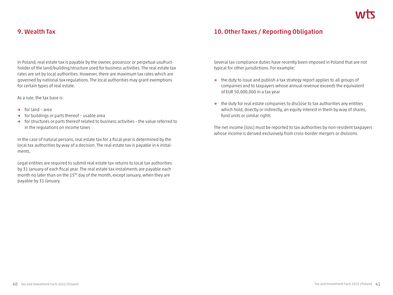### **9. Wealth Tax**

In Poland, real estate tax is payable by the owner, possessor or perpetual usufructholder of the land/building/structure used for business activities. The real estate tax rates are set by local authorities. However, there are maximum tax rates which are governed by national tax regulations. The local authorities may grant exemptions for certain types of real estate.

As a rule, the tax base is:

- **→** for land area
- **→** for buildings or parts thereof usable area
- **→** for structures or parts thereof related to business activities the value referred to in the regulations on income taxes

In the case of natural persons, real estate tax for a fiscal year is determined by the local tax authorities by way of a decision. The real estate tax is payable in 4 instalments.

Legal entities are required to submit real estate tax returns to local tax authorities by 31 January of each fiscal year. The real estate tax instalments are payable each month no later than on the 15<sup>th</sup> day of the month, except January, when they are payable by 31 January.

### **10. Other Taxes / Reporting Obligation**

Several tax compliance duties have recently been imposed in Poland that are not typical for other jurisdictions. For example:

- **→** the duty to issue and publish a tax strategy report applies to all groups of companies and to taxpayers whose annual revenue exceeds the equivalent of EUR 50,000,000 in a tax year
- **→** the duty for real estate companies to disclose to tax authorities any entities which hold, directly or indirectly, an equity interest in them by way of shares, fund units or similar rights

The net income (loss) must be reported to tax authorities by non-resident taxpayers whose income is derived exclusively from cross-border mergers or divisions.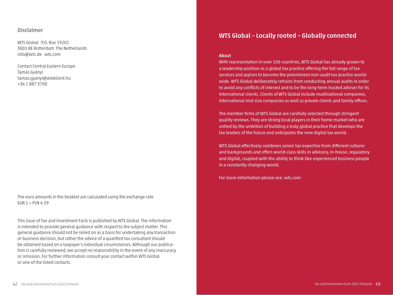#### **Disclaimer**

WTS Global P.O. Box 19201 3001 BE Rotterdam The Netherlands info@wts.de wts.com

Contact Central Eastern Europe Tamás Gyányi tamas.gyanyi@wtsklient.hu +36 1 887 3700

The euro amounts in the booklet are calculated using the exchange rate  $EUR 1 = PLN 4.59$ 

This issue of Tax and Investment Facts is published by WTS Global. The information is intended to provide general guidance with respect to the subject matter. This general guidance should not be relied on as a basis for undertaking any transaction or business decision, but rather the advice of a qualified tax consultant should be obtained based on a taxpayer's individual circumstances. Although our publication is carefully reviewed, we accept no responsibility in the event of any inaccuracy or omission. For further information consult your contact within WTS Global or one of the listed contacts.

### **WTS Global – Locally rooted – Globally connected**

#### **About**

With representation in over 100 countries, WTS Global has already grown to a leadership position as a global tax practice offering the full range of tax services and aspires to become the preeminent non-audit tax practice worldwide. WTS Global deliberately refrains from conducting annual audits in order to avoid any conflicts of interest and to be the long-term trusted adviser for its international clients. Clients of WTS Global include multinational companies, international mid-size companies as well as private clients and family offices.

The member firms of WTS Global are carefully selected through stringent quality reviews. They are strong local players in their home market who are united by the ambition of building a truly global practice that develops the tax leaders of the future and anticipates the new digital tax world.

WTS Global effectively combines senior tax expertise from different cultures and backgrounds and offers world-class skills in advisory, in-house, regulatory and digital, coupled with the ability to think like experienced business people in a constantly changing world.

For more information please see: wts.com